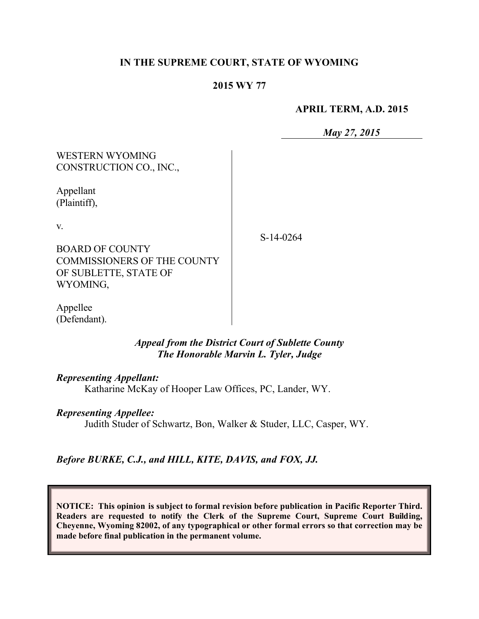## **IN THE SUPREME COURT, STATE OF WYOMING**

#### **2015 WY 77**

#### **APRIL TERM, A.D. 2015**

*May 27, 2015*

WESTERN WYOMING CONSTRUCTION CO., INC.,

Appellant (Plaintiff),

v.

S-14-0264

BOARD OF COUNTY COMMISSIONERS OF THE COUNTY OF SUBLETTE, STATE OF WYOMING,

Appellee (Defendant).

### *Appeal from the District Court of Sublette County The Honorable Marvin L. Tyler, Judge*

*Representing Appellant:*

Katharine McKay of Hooper Law Offices, PC, Lander, WY.

#### *Representing Appellee:*

Judith Studer of Schwartz, Bon, Walker & Studer, LLC, Casper, WY.

*Before BURKE, C.J., and HILL, KITE, DAVIS, and FOX, JJ.*

**NOTICE: This opinion is subject to formal revision before publication in Pacific Reporter Third. Readers are requested to notify the Clerk of the Supreme Court, Supreme Court Building, Cheyenne, Wyoming 82002, of any typographical or other formal errors so that correction may be made before final publication in the permanent volume.**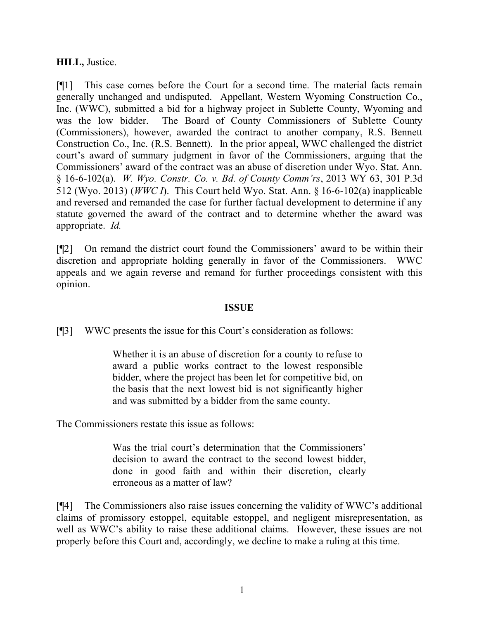## **HILL,** Justice.

[¶1] This case comes before the Court for a second time. The material facts remain generally unchanged and undisputed. Appellant, Western Wyoming Construction Co., Inc. (WWC), submitted a bid for a highway project in Sublette County, Wyoming and was the low bidder. The Board of County Commissioners of Sublette County (Commissioners), however, awarded the contract to another company, R.S. Bennett Construction Co., Inc. (R.S. Bennett). In the prior appeal, WWC challenged the district court's award of summary judgment in favor of the Commissioners, arguing that the Commissioners' award of the contract was an abuse of discretion under Wyo. Stat. Ann. § 16-6-102(a). *W. Wyo. Constr. Co. v. Bd. of County Comm'rs*, 2013 WY 63, 301 P.3d 512 (Wyo. 2013) (*WWC I*). This Court held Wyo. Stat. Ann. § 16-6-102(a) inapplicable and reversed and remanded the case for further factual development to determine if any statute governed the award of the contract and to determine whether the award was appropriate. *Id.*

[¶2] On remand the district court found the Commissioners' award to be within their discretion and appropriate holding generally in favor of the Commissioners. WWC appeals and we again reverse and remand for further proceedings consistent with this opinion.

### **ISSUE**

[¶3] WWC presents the issue for this Court's consideration as follows:

Whether it is an abuse of discretion for a county to refuse to award a public works contract to the lowest responsible bidder, where the project has been let for competitive bid, on the basis that the next lowest bid is not significantly higher and was submitted by a bidder from the same county.

The Commissioners restate this issue as follows:

Was the trial court's determination that the Commissioners' decision to award the contract to the second lowest bidder, done in good faith and within their discretion, clearly erroneous as a matter of law?

[¶4] The Commissioners also raise issues concerning the validity of WWC's additional claims of promissory estoppel, equitable estoppel, and negligent misrepresentation, as well as WWC's ability to raise these additional claims. However, these issues are not properly before this Court and, accordingly, we decline to make a ruling at this time.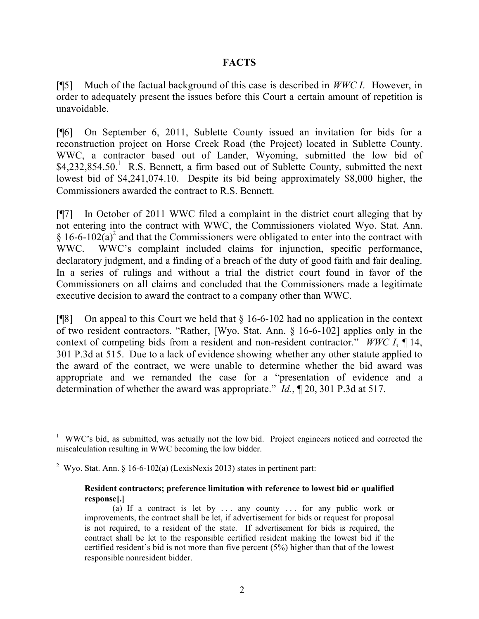## **FACTS**

[¶5] Much of the factual background of this case is described in *WWC I*. However, in order to adequately present the issues before this Court a certain amount of repetition is unavoidable.

[¶6] On September 6, 2011, Sublette County issued an invitation for bids for a reconstruction project on Horse Creek Road (the Project) located in Sublette County. WWC, a contractor based out of Lander, Wyoming, submitted the low bid of  $$4,232,854.50$ .<sup>1</sup> R.S. Bennett, a firm based out of Sublette County, submitted the next lowest bid of \$4,241,074.10. Despite its bid being approximately \$8,000 higher, the Commissioners awarded the contract to R.S. Bennett.

[¶7] In October of 2011 WWC filed a complaint in the district court alleging that by not entering into the contract with WWC, the Commissioners violated Wyo. Stat. Ann. § 16-6-102(a)<sup>2</sup> and that the Commissioners were obligated to enter into the contract with WWC. WWC's complaint included claims for injunction, specific performance, declaratory judgment, and a finding of a breach of the duty of good faith and fair dealing. In a series of rulings and without a trial the district court found in favor of the Commissioners on all claims and concluded that the Commissioners made a legitimate executive decision to award the contract to a company other than WWC.

[ $[$ [8] On appeal to this Court we held that  $\S$  16-6-102 had no application in the context of two resident contractors. "Rather, [Wyo. Stat. Ann. § 16-6-102] applies only in the context of competing bids from a resident and non-resident contractor." *WWC I*, ¶ 14, 301 P.3d at 515. Due to a lack of evidence showing whether any other statute applied to the award of the contract, we were unable to determine whether the bid award was appropriate and we remanded the case for a "presentation of evidence and a determination of whether the award was appropriate." *Id.*, ¶ 20, 301 P.3d at 517.

 <sup>1</sup> WWC's bid, as submitted, was actually not the low bid. Project engineers noticed and corrected the miscalculation resulting in WWC becoming the low bidder.

<sup>&</sup>lt;sup>2</sup> Wyo. Stat. Ann. § 16-6-102(a) (LexisNexis 2013) states in pertinent part:

**Resident contractors; preference limitation with reference to lowest bid or qualified response[.]**

<sup>(</sup>a) If a contract is let by  $\ldots$  any county  $\ldots$  for any public work or improvements, the contract shall be let, if advertisement for bids or request for proposal is not required, to a resident of the state. If advertisement for bids is required, the contract shall be let to the responsible certified resident making the lowest bid if the certified resident's bid is not more than five percent (5%) higher than that of the lowest responsible nonresident bidder.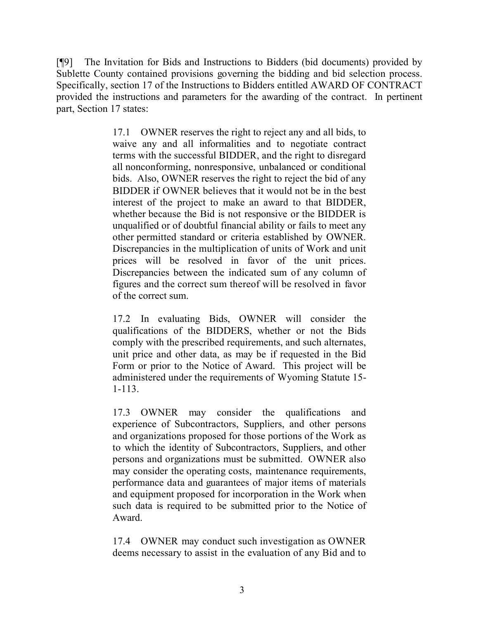[¶9] The Invitation for Bids and Instructions to Bidders (bid documents) provided by Sublette County contained provisions governing the bidding and bid selection process. Specifically, section 17 of the Instructions to Bidders entitled AWARD OF CONTRACT provided the instructions and parameters for the awarding of the contract. In pertinent part, Section 17 states:

> 17.1 OWNER reserves the right to reject any and all bids, to waive any and all informalities and to negotiate contract terms with the successful BIDDER, and the right to disregard all nonconforming, nonresponsive, unbalanced or conditional bids. Also, OWNER reserves the right to reject the bid of any BIDDER if OWNER believes that it would not be in the best interest of the project to make an award to that BIDDER, whether because the Bid is not responsive or the BIDDER is unqualified or of doubtful financial ability or fails to meet any other permitted standard or criteria established by OWNER. Discrepancies in the multiplication of units of Work and unit prices will be resolved in favor of the unit prices. Discrepancies between the indicated sum of any column of figures and the correct sum thereof will be resolved in favor of the correct sum.

> 17.2 In evaluating Bids, OWNER will consider the qualifications of the BIDDERS, whether or not the Bids comply with the prescribed requirements, and such alternates, unit price and other data, as may be if requested in the Bid Form or prior to the Notice of Award. This project will be administered under the requirements of Wyoming Statute 15- 1-113.

> 17.3 OWNER may consider the qualifications and experience of Subcontractors, Suppliers, and other persons and organizations proposed for those portions of the Work as to which the identity of Subcontractors, Suppliers, and other persons and organizations must be submitted. OWNER also may consider the operating costs, maintenance requirements, performance data and guarantees of major items of materials and equipment proposed for incorporation in the Work when such data is required to be submitted prior to the Notice of Award.

> 17.4 OWNER may conduct such investigation as OWNER deems necessary to assist in the evaluation of any Bid and to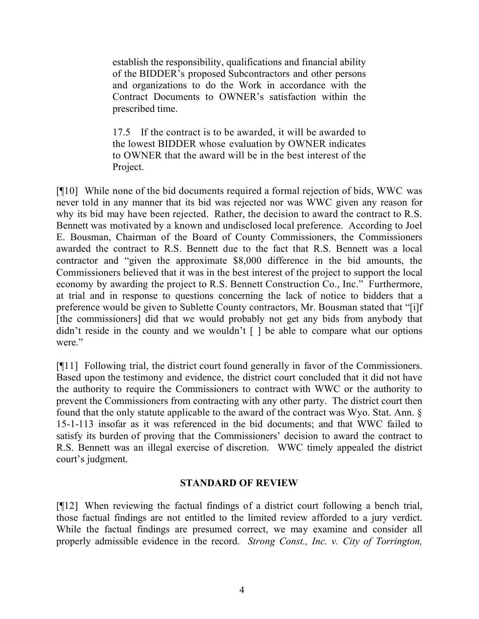establish the responsibility, qualifications and financial ability of the BIDDER's proposed Subcontractors and other persons and organizations to do the Work in accordance with the Contract Documents to OWNER's satisfaction within the prescribed time.

17.5 If the contract is to be awarded, it will be awarded to the lowest BIDDER whose evaluation by OWNER indicates to OWNER that the award will be in the best interest of the Project.

[¶10] While none of the bid documents required a formal rejection of bids, WWC was never told in any manner that its bid was rejected nor was WWC given any reason for why its bid may have been rejected. Rather, the decision to award the contract to R.S. Bennett was motivated by a known and undisclosed local preference. According to Joel E. Bousman, Chairman of the Board of County Commissioners, the Commissioners awarded the contract to R.S. Bennett due to the fact that R.S. Bennett was a local contractor and "given the approximate \$8,000 difference in the bid amounts, the Commissioners believed that it was in the best interest of the project to support the local economy by awarding the project to R.S. Bennett Construction Co., Inc." Furthermore, at trial and in response to questions concerning the lack of notice to bidders that a preference would be given to Sublette County contractors, Mr. Bousman stated that "[i]f [the commissioners] did that we would probably not get any bids from anybody that didn't reside in the county and we wouldn't  $\lceil \cdot \rceil$  be able to compare what our options were."

[¶11] Following trial, the district court found generally in favor of the Commissioners. Based upon the testimony and evidence, the district court concluded that it did not have the authority to require the Commissioners to contract with WWC or the authority to prevent the Commissioners from contracting with any other party. The district court then found that the only statute applicable to the award of the contract was Wyo. Stat. Ann. § 15-1-113 insofar as it was referenced in the bid documents; and that WWC failed to satisfy its burden of proving that the Commissioners' decision to award the contract to R.S. Bennett was an illegal exercise of discretion. WWC timely appealed the district court's judgment.

## **STANDARD OF REVIEW**

[¶12] When reviewing the factual findings of a district court following a bench trial, those factual findings are not entitled to the limited review afforded to a jury verdict. While the factual findings are presumed correct, we may examine and consider all properly admissible evidence in the record. *Strong Const., Inc. v. City of Torrington,*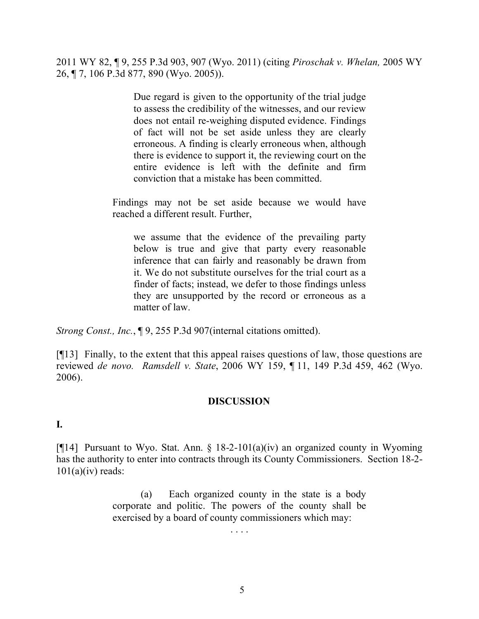2011 WY 82, ¶ 9, 255 P.3d 903, 907 (Wyo. 2011) (citing *Piroschak v. Whelan,* 2005 WY 26, ¶ 7, 106 P.3d 877, 890 (Wyo. 2005)).

> Due regard is given to the opportunity of the trial judge to assess the credibility of the witnesses, and our review does not entail re-weighing disputed evidence. Findings of fact will not be set aside unless they are clearly erroneous. A finding is clearly erroneous when, although there is evidence to support it, the reviewing court on the entire evidence is left with the definite and firm conviction that a mistake has been committed.

Findings may not be set aside because we would have reached a different result. Further,

we assume that the evidence of the prevailing party below is true and give that party every reasonable inference that can fairly and reasonably be drawn from it. We do not substitute ourselves for the trial court as a finder of facts; instead, we defer to those findings unless they are unsupported by the record or erroneous as a matter of law.

*Strong Const., Inc.*, ¶ 9, 255 P.3d 907(internal citations omitted).

[¶13] Finally, to the extent that this appeal raises questions of law, those questions are reviewed *de novo. Ramsdell v. State*, 2006 WY 159, ¶ 11, 149 P.3d 459, 462 (Wyo. 2006).

## **DISCUSSION**

#### **I.**

[ $[14]$ ] Pursuant to Wyo. Stat. Ann. § 18-2-101(a)(iv) an organized county in Wyoming has the authority to enter into contracts through its County Commissioners. Section 18-2-  $101(a)(iv)$  reads:

> (a) Each organized county in the state is a body corporate and politic. The powers of the county shall be exercised by a board of county commissioners which may:

> > . . . .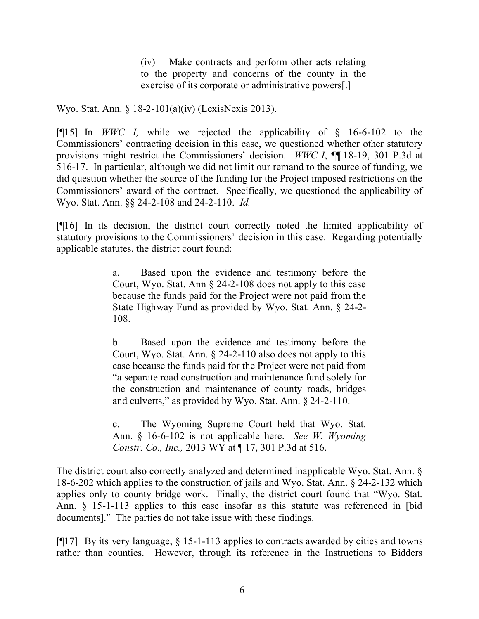(iv) Make contracts and perform other acts relating to the property and concerns of the county in the exercise of its corporate or administrative powers[.]

Wyo. Stat. Ann. § 18-2-101(a)(iv) (LexisNexis 2013).

[¶15] In *WWC I,* while we rejected the applicability of § 16-6-102 to the Commissioners' contracting decision in this case, we questioned whether other statutory provisions might restrict the Commissioners' decision. *WWC I*, ¶¶ 18-19, 301 P.3d at 516-17. In particular, although we did not limit our remand to the source of funding, we did question whether the source of the funding for the Project imposed restrictions on the Commissioners' award of the contract. Specifically, we questioned the applicability of Wyo. Stat. Ann. §§ 24-2-108 and 24-2-110. *Id.*

[¶16] In its decision, the district court correctly noted the limited applicability of statutory provisions to the Commissioners' decision in this case. Regarding potentially applicable statutes, the district court found:

> a. Based upon the evidence and testimony before the Court, Wyo. Stat. Ann § 24-2-108 does not apply to this case because the funds paid for the Project were not paid from the State Highway Fund as provided by Wyo. Stat. Ann. § 24-2- 108.

> b. Based upon the evidence and testimony before the Court, Wyo. Stat. Ann. § 24-2-110 also does not apply to this case because the funds paid for the Project were not paid from "a separate road construction and maintenance fund solely for the construction and maintenance of county roads, bridges and culverts," as provided by Wyo. Stat. Ann. § 24-2-110.

> c. The Wyoming Supreme Court held that Wyo. Stat. Ann. § 16-6-102 is not applicable here. *See W. Wyoming Constr. Co., Inc.,* 2013 WY at ¶ 17, 301 P.3d at 516.

The district court also correctly analyzed and determined inapplicable Wyo. Stat. Ann. § 18-6-202 which applies to the construction of jails and Wyo. Stat. Ann. § 24-2-132 which applies only to county bridge work. Finally, the district court found that "Wyo. Stat. Ann. § 15-1-113 applies to this case insofar as this statute was referenced in [bid documents]." The parties do not take issue with these findings.

[¶17] By its very language, § 15-1-113 applies to contracts awarded by cities and towns rather than counties. However, through its reference in the Instructions to Bidders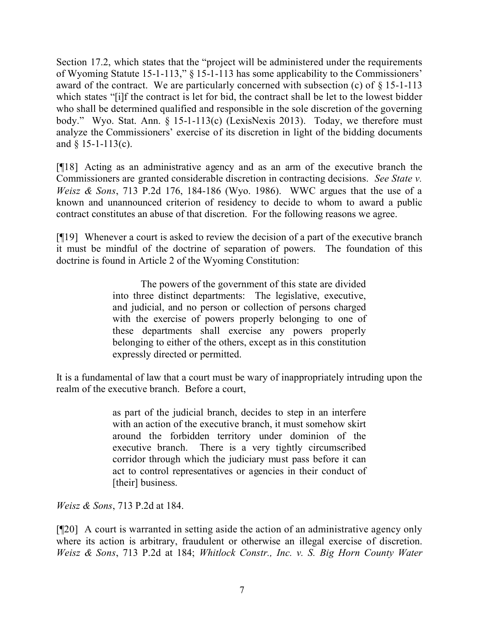Section 17.2, which states that the "project will be administered under the requirements of Wyoming Statute 15-1-113," § 15-1-113 has some applicability to the Commissioners' award of the contract. We are particularly concerned with subsection (c) of § 15-1-113 which states "[i]f the contract is let for bid, the contract shall be let to the lowest bidder who shall be determined qualified and responsible in the sole discretion of the governing body." Wyo. Stat. Ann. § 15-1-113(c) (LexisNexis 2013). Today, we therefore must analyze the Commissioners' exercise of its discretion in light of the bidding documents and  $§$  15-1-113(c).

[¶18] Acting as an administrative agency and as an arm of the executive branch the Commissioners are granted considerable discretion in contracting decisions. *See State v. Weisz & Sons*, 713 P.2d 176, 184-186 (Wyo. 1986). WWC argues that the use of a known and unannounced criterion of residency to decide to whom to award a public contract constitutes an abuse of that discretion. For the following reasons we agree.

[¶19] Whenever a court is asked to review the decision of a part of the executive branch it must be mindful of the doctrine of separation of powers. The foundation of this doctrine is found in Article 2 of the Wyoming Constitution:

> The powers of the government of this state are divided into three distinct departments: The legislative, executive, and judicial, and no person or collection of persons charged with the exercise of powers properly belonging to one of these departments shall exercise any powers properly belonging to either of the others, except as in this constitution expressly directed or permitted.

It is a fundamental of law that a court must be wary of inappropriately intruding upon the realm of the executive branch. Before a court,

> as part of the judicial branch, decides to step in an interfere with an action of the executive branch, it must somehow skirt around the forbidden territory under dominion of the executive branch. There is a very tightly circumscribed corridor through which the judiciary must pass before it can act to control representatives or agencies in their conduct of [their] business.

*Weisz & Sons*, 713 P.2d at 184.

[¶20] A court is warranted in setting aside the action of an administrative agency only where its action is arbitrary, fraudulent or otherwise an illegal exercise of discretion. *Weisz & Sons*, 713 P.2d at 184; *Whitlock Constr., Inc. v. S. Big Horn County Water*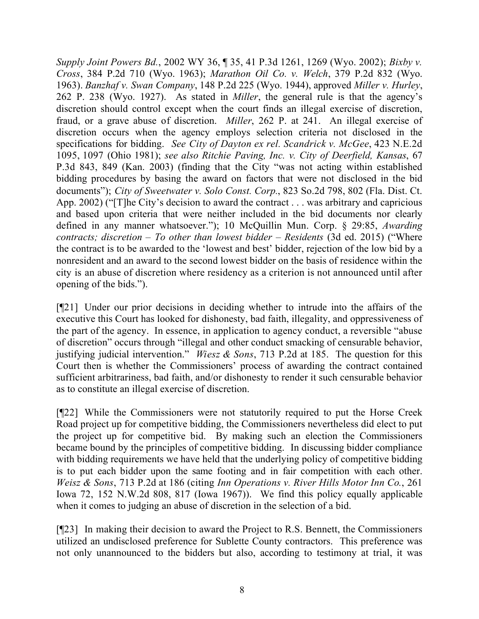*Supply Joint Powers Bd.*, 2002 WY 36, ¶ 35, 41 P.3d 1261, 1269 (Wyo. 2002); *Bixby v. Cross*, 384 P.2d 710 (Wyo. 1963); *Marathon Oil Co. v. Welch*, 379 P.2d 832 (Wyo. 1963). *Banzhaf v. Swan Company*, 148 P.2d 225 (Wyo. 1944), approved *Miller v. Hurley*, 262 P. 238 (Wyo. 1927). As stated in *Miller*, the general rule is that the agency's discretion should control except when the court finds an illegal exercise of discretion, fraud, or a grave abuse of discretion. *Miller*, 262 P. at 241. An illegal exercise of discretion occurs when the agency employs selection criteria not disclosed in the specifications for bidding. *See City of Dayton ex rel. Scandrick v. McGee*, 423 N.E.2d 1095, 1097 (Ohio 1981); *see also Ritchie Paving, Inc. v. City of Deerfield, Kansas*, 67 P.3d 843, 849 (Kan. 2003) (finding that the City "was not acting within established bidding procedures by basing the award on factors that were not disclosed in the bid documents"); *City of Sweetwater v. Solo Const. Corp.*, 823 So.2d 798, 802 (Fla. Dist. Ct. App. 2002) ("[T]he City's decision to award the contract . . . was arbitrary and capricious and based upon criteria that were neither included in the bid documents nor clearly defined in any manner whatsoever."); 10 McQuillin Mun. Corp. § 29:85, *Awarding contracts; discretion – To other than lowest bidder – Residents* (3d ed. 2015) ("Where the contract is to be awarded to the 'lowest and best' bidder, rejection of the low bid by a nonresident and an award to the second lowest bidder on the basis of residence within the city is an abuse of discretion where residency as a criterion is not announced until after opening of the bids.").

[¶21] Under our prior decisions in deciding whether to intrude into the affairs of the executive this Court has looked for dishonesty, bad faith, illegality, and oppressiveness of the part of the agency. In essence, in application to agency conduct, a reversible "abuse of discretion" occurs through "illegal and other conduct smacking of censurable behavior, justifying judicial intervention." *Wiesz & Sons*, 713 P.2d at 185. The question for this Court then is whether the Commissioners' process of awarding the contract contained sufficient arbitrariness, bad faith, and/or dishonesty to render it such censurable behavior as to constitute an illegal exercise of discretion.

[¶22] While the Commissioners were not statutorily required to put the Horse Creek Road project up for competitive bidding, the Commissioners nevertheless did elect to put the project up for competitive bid. By making such an election the Commissioners became bound by the principles of competitive bidding. In discussing bidder compliance with bidding requirements we have held that the underlying policy of competitive bidding is to put each bidder upon the same footing and in fair competition with each other. *Weisz & Sons*, 713 P.2d at 186 (citing *Inn Operations v. River Hills Motor Inn Co.*, 261 Iowa 72, 152 N.W.2d 808, 817 (Iowa 1967)). We find this policy equally applicable when it comes to judging an abuse of discretion in the selection of a bid.

[¶23] In making their decision to award the Project to R.S. Bennett, the Commissioners utilized an undisclosed preference for Sublette County contractors. This preference was not only unannounced to the bidders but also, according to testimony at trial, it was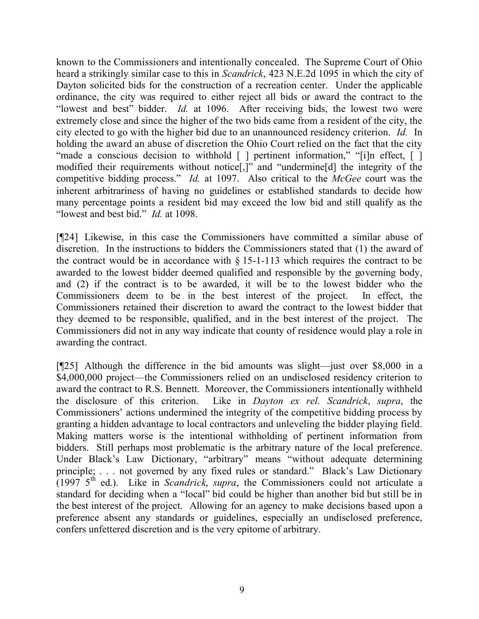known to the Commissioners and intentionally concealed. The Supreme Court of Ohio heard a strikingly similar case to this in *Scandrick*, 423 N.E.2d 1095 in which the city of Dayton solicited bids for the construction of a recreation center. Under the applicable ordinance, the city was required to either reject all bids or award the contract to the "lowest and best" bidder. *Id.* at 1096. After receiving bids, the lowest two were extremely close and since the higher of the two bids came from a resident of the city, the city elected to go with the higher bid due to an unannounced residency criterion. *Id.* In holding the award an abuse of discretion the Ohio Court relied on the fact that the city "made a conscious decision to withhold [ ] pertinent information," "[i]n effect, [ ] modified their requirements without notice[,]" and "undermine[d] the integrity of the competitive bidding process." *Id.* at 1097. Also critical to the *McGee* court was the inherent arbitrariness of having no guidelines or established standards to decide how many percentage points a resident bid may exceed the low bid and still qualify as the "lowest and best bid." *Id.* at 1098.

[¶24] Likewise, in this case the Commissioners have committed a similar abuse of discretion. In the instructions to bidders the Commissioners stated that (1) the award of the contract would be in accordance with  $\S 15$ -1-113 which requires the contract to be awarded to the lowest bidder deemed qualified and responsible by the governing body, and (2) if the contract is to be awarded, it will be to the lowest bidder who the Commissioners deem to be in the best interest of the project. In effect, the Commissioners retained their discretion to award the contract to the lowest bidder that they deemed to be responsible, qualified, and in the best interest of the project. The Commissioners did not in any way indicate that county of residence would play a role in awarding the contract.

[¶25] Although the difference in the bid amounts was slight—just over \$8,000 in a \$4,000,000 project—the Commissioners relied on an undisclosed residency criterion to award the contract to R.S. Bennett. Moreover, the Commissioners intentionally withheld the disclosure of this criterion. Like in *Dayton ex rel. Scandrick*, *supra*, the Commissioners' actions undermined the integrity of the competitive bidding process by granting a hidden advantage to local contractors and unleveling the bidder playing field. Making matters worse is the intentional withholding of pertinent information from bidders. Still perhaps most problematic is the arbitrary nature of the local preference. Under Black's Law Dictionary, "arbitrary" means "without adequate determining principle; . . . not governed by any fixed rules or standard." Black's Law Dictionary  $(1997 \, 5^{th} \,$  ed.). Like in *Scandrick*, *supra*, the Commissioners could not articulate a standard for deciding when a "local" bid could be higher than another bid but still be in the best interest of the project. Allowing for an agency to make decisions based upon a preference absent any standards or guidelines, especially an undisclosed preference, confers unfettered discretion and is the very epitome of arbitrary.